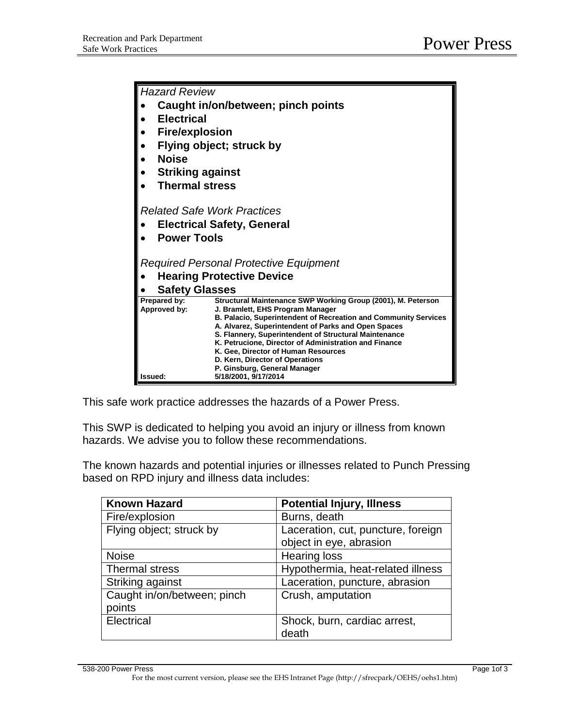| <b>Hazard Review</b>                          |                                                                                                     |  |
|-----------------------------------------------|-----------------------------------------------------------------------------------------------------|--|
| Caught in/on/between; pinch points            |                                                                                                     |  |
| <b>Electrical</b>                             |                                                                                                     |  |
| <b>Fire/explosion</b>                         |                                                                                                     |  |
| Flying object; struck by                      |                                                                                                     |  |
| <b>Noise</b>                                  |                                                                                                     |  |
| <b>Striking against</b>                       |                                                                                                     |  |
| <b>Thermal stress</b>                         |                                                                                                     |  |
|                                               |                                                                                                     |  |
| <b>Related Safe Work Practices</b>            |                                                                                                     |  |
| <b>Electrical Safety, General</b>             |                                                                                                     |  |
| <b>Power Tools</b>                            |                                                                                                     |  |
|                                               |                                                                                                     |  |
| <b>Required Personal Protective Equipment</b> |                                                                                                     |  |
| <b>Hearing Protective Device</b>              |                                                                                                     |  |
| <b>Safety Glasses</b>                         |                                                                                                     |  |
| Prepared by:                                  | Structural Maintenance SWP Working Group (2001), M. Peterson                                        |  |
| Approved by:                                  | J. Bramlett, EHS Program Manager<br>B. Palacio, Superintendent of Recreation and Community Services |  |
|                                               | A. Alvarez, Superintendent of Parks and Open Spaces                                                 |  |
|                                               | S. Flannery, Superintendent of Structural Maintenance                                               |  |
|                                               | K. Petrucione, Director of Administration and Finance                                               |  |
|                                               | K. Gee, Director of Human Resources<br>D. Kern, Director of Operations                              |  |
|                                               | P. Ginsburg, General Manager                                                                        |  |
| Issued:                                       | 5/18/2001, 9/17/2014                                                                                |  |

This safe work practice addresses the hazards of a Power Press.

This SWP is dedicated to helping you avoid an injury or illness from known hazards. We advise you to follow these recommendations.

The known hazards and potential injuries or illnesses related to Punch Pressing based on RPD injury and illness data includes:

| <b>Known Hazard</b>         | <b>Potential Injury, Illness</b>   |
|-----------------------------|------------------------------------|
| Fire/explosion              | Burns, death                       |
| Flying object; struck by    | Laceration, cut, puncture, foreign |
|                             | object in eye, abrasion            |
| <b>Noise</b>                | <b>Hearing loss</b>                |
| <b>Thermal stress</b>       | Hypothermia, heat-related illness  |
| Striking against            | Laceration, puncture, abrasion     |
| Caught in/on/between; pinch | Crush, amputation                  |
| points                      |                                    |
| Electrical                  | Shock, burn, cardiac arrest,       |
|                             | death                              |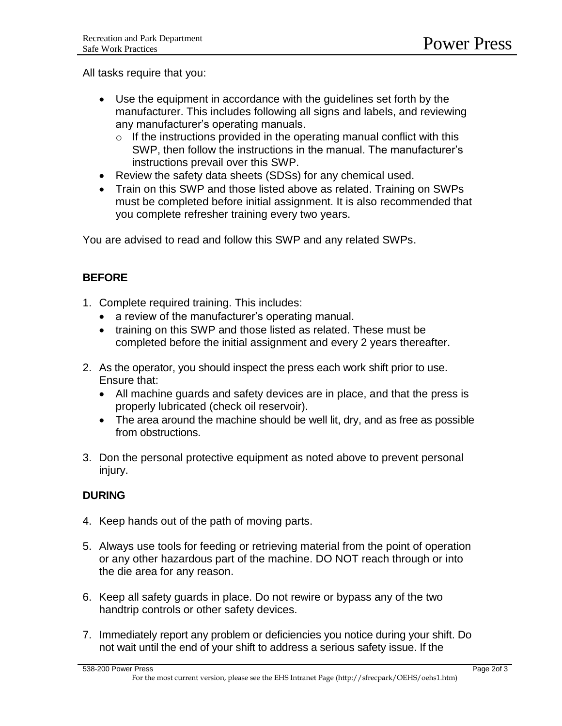All tasks require that you:

- Use the equipment in accordance with the guidelines set forth by the manufacturer. This includes following all signs and labels, and reviewing any manufacturer's operating manuals.
	- $\circ$  If the instructions provided in the operating manual conflict with this SWP, then follow the instructions in the manual. The manufacturer's instructions prevail over this SWP.
- Review the safety data sheets (SDSs) for any chemical used.
- Train on this SWP and those listed above as related. Training on SWPs must be completed before initial assignment. It is also recommended that you complete refresher training every two years.

You are advised to read and follow this SWP and any related SWPs.

# **BEFORE**

- 1. Complete required training. This includes:
	- a review of the manufacturer's operating manual.
	- training on this SWP and those listed as related. These must be completed before the initial assignment and every 2 years thereafter.
- 2. As the operator, you should inspect the press each work shift prior to use. Ensure that:
	- All machine guards and safety devices are in place, and that the press is properly lubricated (check oil reservoir).
	- The area around the machine should be well lit, dry, and as free as possible from obstructions.
- 3. Don the personal protective equipment as noted above to prevent personal injury.

# **DURING**

- 4. Keep hands out of the path of moving parts.
- 5. Always use tools for feeding or retrieving material from the point of operation or any other hazardous part of the machine. DO NOT reach through or into the die area for any reason.
- 6. Keep all safety guards in place. Do not rewire or bypass any of the two handtrip controls or other safety devices.
- 7. Immediately report any problem or deficiencies you notice during your shift. Do not wait until the end of your shift to address a serious safety issue. If the